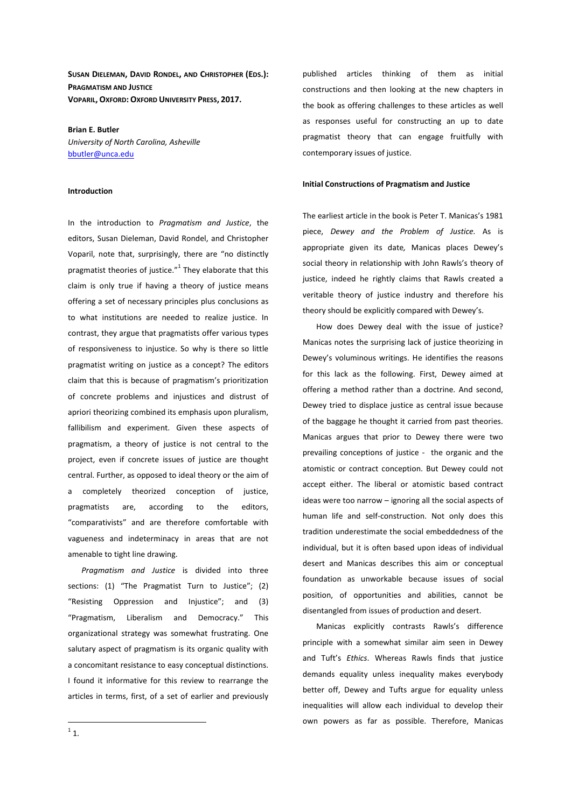**SUSAN DIELEMAN, DAVID RONDEL, AND CHRISTOPHER (EDS.): PRAGMATISM AND JUSTICE VOPARIL, OXFORD: OXFORD UNIVERSITY PRESS, 2017.** 

**Brian E. Butler**  *University of North Carolina, Asheville*  bbutler@unca.edu

## **Introduction**

In the introduction to *Pragmatism and Justice*, the editors, Susan Dieleman, David Rondel, and Christopher Voparil, note that, surprisingly, there are "no distinctly pragmatist theories of justice." $1$  They elaborate that this claim is only true if having a theory of justice means offering a set of necessary principles plus conclusions as to what institutions are needed to realize justice. In contrast, they argue that pragmatists offer various types of responsiveness to injustice. So why is there so little pragmatist writing on justice as a concept? The editors claim that this is because of pragmatism's prioritization of concrete problems and injustices and distrust of apriori theorizing combined its emphasis upon pluralism, fallibilism and experiment. Given these aspects of pragmatism, a theory of justice is not central to the project, even if concrete issues of justice are thought central. Further, as opposed to ideal theory or the aim of a completely theorized conception of justice, pragmatists are, according to the editors, "comparativists" and are therefore comfortable with vagueness and indeterminacy in areas that are not amenable to tight line drawing.

*Pragmatism and Justice* is divided into three sections: (1) "The Pragmatist Turn to Justice"; (2) "Resisting Oppression and Injustice"; and (3) "Pragmatism, Liberalism and Democracy." This organizational strategy was somewhat frustrating. One salutary aspect of pragmatism is its organic quality with a concomitant resistance to easy conceptual distinctions. I found it informative for this review to rearrange the articles in terms, first, of a set of earlier and previously published articles thinking of them as initial constructions and then looking at the new chapters in the book as offering challenges to these articles as well as responses useful for constructing an up to date pragmatist theory that can engage fruitfully with contemporary issues of justice.

## **Initial Constructions of Pragmatism and Justice**

The earliest article in the book is Peter T. Manicas's 1981 piece, *Dewey and the Problem of Justice.* As is appropriate given its date*,* Manicas places Dewey's social theory in relationship with John Rawls's theory of justice, indeed he rightly claims that Rawls created a veritable theory of justice industry and therefore his theory should be explicitly compared with Dewey's.

How does Dewey deal with the issue of justice? Manicas notes the surprising lack of justice theorizing in Dewey's voluminous writings. He identifies the reasons for this lack as the following. First, Dewey aimed at offering a method rather than a doctrine. And second, Dewey tried to displace justice as central issue because of the baggage he thought it carried from past theories. Manicas argues that prior to Dewey there were two prevailing conceptions of justice - the organic and the atomistic or contract conception. But Dewey could not accept either. The liberal or atomistic based contract ideas were too narrow – ignoring all the social aspects of human life and self-construction. Not only does this tradition underestimate the social embeddedness of the individual, but it is often based upon ideas of individual desert and Manicas describes this aim or conceptual foundation as unworkable because issues of social position, of opportunities and abilities, cannot be disentangled from issues of production and desert.

Manicas explicitly contrasts Rawls's difference principle with a somewhat similar aim seen in Dewey and Tuft's *Ethics*. Whereas Rawls finds that justice demands equality unless inequality makes everybody better off, Dewey and Tufts argue for equality unless inequalities will allow each individual to develop their own powers as far as possible. Therefore, Manicas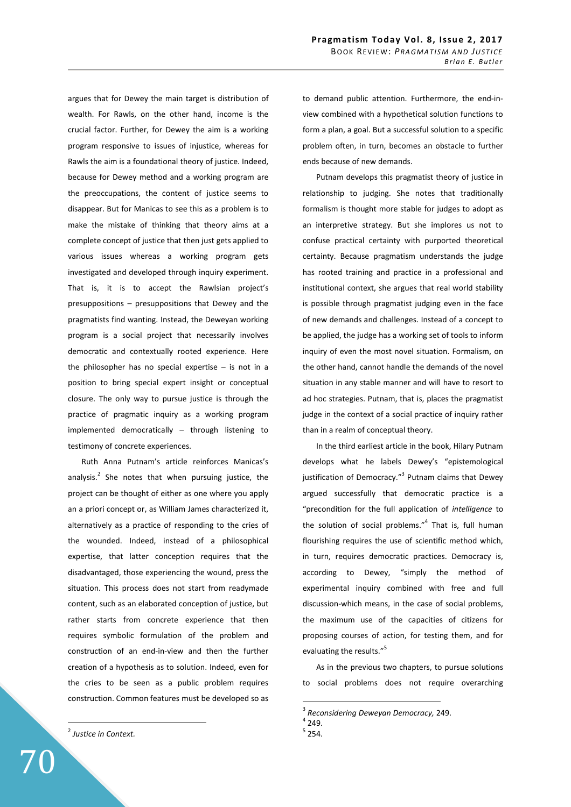argues that for Dewey the main target is distribution of wealth. For Rawls, on the other hand, income is the crucial factor. Further, for Dewey the aim is a working program responsive to issues of injustice, whereas for Rawls the aim is a foundational theory of justice. Indeed, because for Dewey method and a working program are the preoccupations, the content of justice seems to disappear. But for Manicas to see this as a problem is to make the mistake of thinking that theory aims at a complete concept of justice that then just gets applied to various issues whereas a working program gets investigated and developed through inquiry experiment. That is, it is to accept the Rawlsian project's presuppositions – presuppositions that Dewey and the pragmatists find wanting. Instead, the Deweyan working program is a social project that necessarily involves democratic and contextually rooted experience. Here the philosopher has no special expertise  $-$  is not in a position to bring special expert insight or conceptual closure. The only way to pursue justice is through the practice of pragmatic inquiry as a working program implemented democratically – through listening to testimony of concrete experiences.

Ruth Anna Putnam's article reinforces Manicas's analysis.<sup>2</sup> She notes that when pursuing justice, the project can be thought of either as one where you apply an a priori concept or, as William James characterized it, alternatively as a practice of responding to the cries of the wounded. Indeed, instead of a philosophical expertise, that latter conception requires that the disadvantaged, those experiencing the wound, press the situation. This process does not start from readymade content, such as an elaborated conception of justice, but rather starts from concrete experience that then requires symbolic formulation of the problem and construction of an end-in-view and then the further creation of a hypothesis as to solution. Indeed, even for the cries to be seen as a public problem requires construction. Common features must be developed so as

2 *Justice in Context.*

70

to demand public attention. Furthermore, the end-inview combined with a hypothetical solution functions to form a plan, a goal. But a successful solution to a specific problem often, in turn, becomes an obstacle to further ends because of new demands.

Putnam develops this pragmatist theory of justice in relationship to judging. She notes that traditionally formalism is thought more stable for judges to adopt as an interpretive strategy. But she implores us not to confuse practical certainty with purported theoretical certainty. Because pragmatism understands the judge has rooted training and practice in a professional and institutional context, she argues that real world stability is possible through pragmatist judging even in the face of new demands and challenges. Instead of a concept to be applied, the judge has a working set of tools to inform inquiry of even the most novel situation. Formalism, on the other hand, cannot handle the demands of the novel situation in any stable manner and will have to resort to ad hoc strategies. Putnam, that is, places the pragmatist judge in the context of a social practice of inquiry rather than in a realm of conceptual theory.

In the third earliest article in the book, Hilary Putnam develops what he labels Dewey's "epistemological justification of Democracy."<sup>3</sup> Putnam claims that Dewey argued successfully that democratic practice is a "precondition for the full application of *intelligence* to the solution of social problems."<sup>4</sup> That is, full human flourishing requires the use of scientific method which, in turn, requires democratic practices. Democracy is, according to Dewey, "simply the method of experimental inquiry combined with free and full discussion-which means, in the case of social problems, the maximum use of the capacities of citizens for proposing courses of action, for testing them, and for evaluating the results."<sup>5</sup>

As in the previous two chapters, to pursue solutions to social problems does not require overarching

<sup>3</sup> *Reconsidering Deweyan Democracy,* 249.

 $4$  249.

 $<sup>5</sup>$  254.</sup>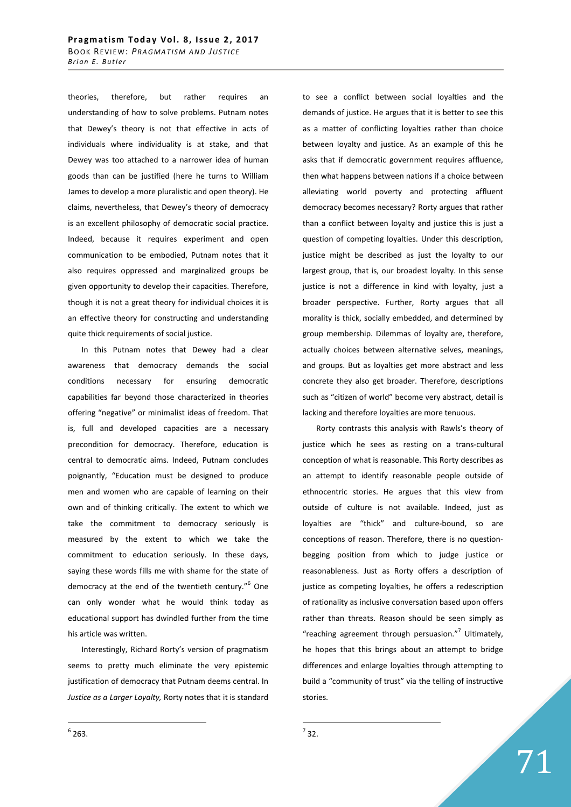theories, therefore, but rather requires an understanding of how to solve problems. Putnam notes that Dewey's theory is not that effective in acts of individuals where individuality is at stake, and that Dewey was too attached to a narrower idea of human goods than can be justified (here he turns to William James to develop a more pluralistic and open theory). He claims, nevertheless, that Dewey's theory of democracy is an excellent philosophy of democratic social practice. Indeed, because it requires experiment and open communication to be embodied, Putnam notes that it also requires oppressed and marginalized groups be given opportunity to develop their capacities. Therefore, though it is not a great theory for individual choices it is an effective theory for constructing and understanding quite thick requirements of social justice.

In this Putnam notes that Dewey had a clear awareness that democracy demands the social conditions necessary for ensuring democratic capabilities far beyond those characterized in theories offering "negative" or minimalist ideas of freedom. That is, full and developed capacities are a necessary precondition for democracy. Therefore, education is central to democratic aims. Indeed, Putnam concludes poignantly, "Education must be designed to produce men and women who are capable of learning on their own and of thinking critically. The extent to which we take the commitment to democracy seriously is measured by the extent to which we take the commitment to education seriously. In these days, saying these words fills me with shame for the state of democracy at the end of the twentieth century."<sup>6</sup> One can only wonder what he would think today as educational support has dwindled further from the time his article was written.

Interestingly, Richard Rorty's version of pragmatism seems to pretty much eliminate the very epistemic justification of democracy that Putnam deems central. In *Justice as a Larger Loyalty,* Rorty notes that it is standard to see a conflict between social loyalties and the demands of justice. He argues that it is better to see this as a matter of conflicting loyalties rather than choice between loyalty and justice. As an example of this he asks that if democratic government requires affluence, then what happens between nations if a choice between alleviating world poverty and protecting affluent democracy becomes necessary? Rorty argues that rather than a conflict between loyalty and justice this is just a question of competing loyalties. Under this description, justice might be described as just the loyalty to our largest group, that is, our broadest loyalty. In this sense justice is not a difference in kind with loyalty, just a broader perspective. Further, Rorty argues that all morality is thick, socially embedded, and determined by group membership. Dilemmas of loyalty are, therefore, actually choices between alternative selves, meanings, and groups. But as loyalties get more abstract and less concrete they also get broader. Therefore, descriptions such as "citizen of world" become very abstract, detail is lacking and therefore loyalties are more tenuous.

Rorty contrasts this analysis with Rawls's theory of justice which he sees as resting on a trans-cultural conception of what is reasonable. This Rorty describes as an attempt to identify reasonable people outside of ethnocentric stories. He argues that this view from outside of culture is not available. Indeed, just as loyalties are "thick" and culture-bound, so are conceptions of reason. Therefore, there is no questionbegging position from which to judge justice or reasonableness. Just as Rorty offers a description of justice as competing loyalties, he offers a redescription of rationality as inclusive conversation based upon offers rather than threats. Reason should be seen simply as "reaching agreement through persuasion."<sup>7</sup> Ultimately, he hopes that this brings about an attempt to bridge differences and enlarge loyalties through attempting to build a "community of trust" via the telling of instructive stories.

71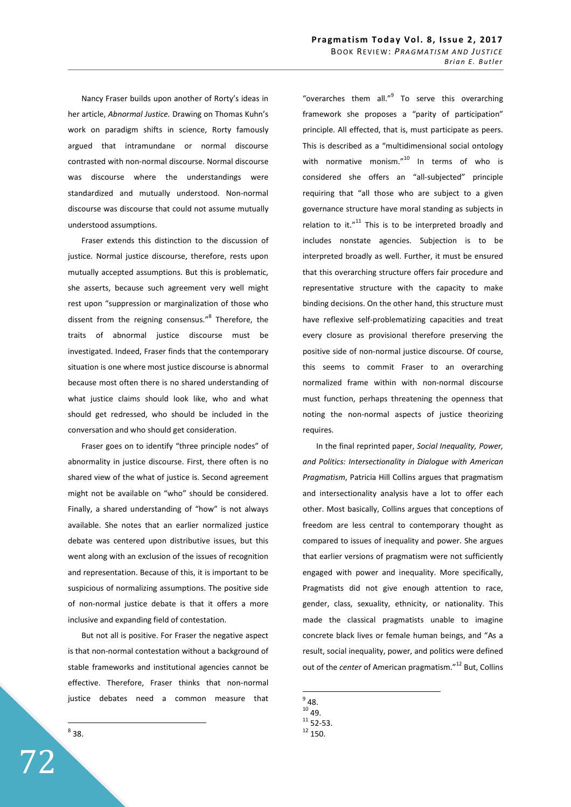Nancy Fraser builds upon another of Rorty's ideas in her article, *Abnormal Justice.* Drawing on Thomas Kuhn's work on paradigm shifts in science, Rorty famously argued that intramundane or normal discourse contrasted with non-normal discourse. Normal discourse was discourse where the understandings were standardized and mutually understood. Non-normal discourse was discourse that could not assume mutually understood assumptions.

Fraser extends this distinction to the discussion of justice. Normal justice discourse, therefore, rests upon mutually accepted assumptions. But this is problematic, she asserts, because such agreement very well might rest upon "suppression or marginalization of those who dissent from the reigning consensus."<sup>8</sup> Therefore, the traits of abnormal justice discourse must be investigated. Indeed, Fraser finds that the contemporary situation is one where most justice discourse is abnormal because most often there is no shared understanding of what justice claims should look like, who and what should get redressed, who should be included in the conversation and who should get consideration.

Fraser goes on to identify "three principle nodes" of abnormality in justice discourse. First, there often is no shared view of the what of justice is. Second agreement might not be available on "who" should be considered. Finally, a shared understanding of "how" is not always available. She notes that an earlier normalized justice debate was centered upon distributive issues, but this went along with an exclusion of the issues of recognition and representation. Because of this, it is important to be suspicious of normalizing assumptions. The positive side of non-normal justice debate is that it offers a more inclusive and expanding field of contestation.

But not all is positive. For Fraser the negative aspect is that non-normal contestation without a background of stable frameworks and institutional agencies cannot be effective. Therefore, Fraser thinks that non-normal justice debates need a common measure that

 $^8$  38.

"overarches them all."<sup>9</sup> To serve this overarching framework she proposes a "parity of participation" principle. All effected, that is, must participate as peers. This is described as a "multidimensional social ontology with normative monism."<sup>10</sup> In terms of who is considered she offers an "all-subjected" principle requiring that "all those who are subject to a given governance structure have moral standing as subjects in relation to it." $11$  This is to be interpreted broadly and includes nonstate agencies. Subjection is to be interpreted broadly as well. Further, it must be ensured that this overarching structure offers fair procedure and representative structure with the capacity to make binding decisions. On the other hand, this structure must have reflexive self-problematizing capacities and treat every closure as provisional therefore preserving the positive side of non-normal justice discourse. Of course, this seems to commit Fraser to an overarching normalized frame within with non-normal discourse must function, perhaps threatening the openness that noting the non-normal aspects of justice theorizing requires.

In the final reprinted paper, *Social Inequality, Power, and Politics: Intersectionality in Dialogue with American Pragmatism*, Patricia Hill Collins argues that pragmatism and intersectionality analysis have a lot to offer each other. Most basically, Collins argues that conceptions of freedom are less central to contemporary thought as compared to issues of inequality and power. She argues that earlier versions of pragmatism were not sufficiently engaged with power and inequality. More specifically, Pragmatists did not give enough attention to race, gender, class, sexuality, ethnicity, or nationality. This made the classical pragmatists unable to imagine concrete black lives or female human beings, and "As a result, social inequality, power, and politics were defined out of the *center* of American pragmatism."<sup>12</sup> But, Collins

 $9^9$  48.

 $10$  49.

 $11$  52-53.

 $12$  150.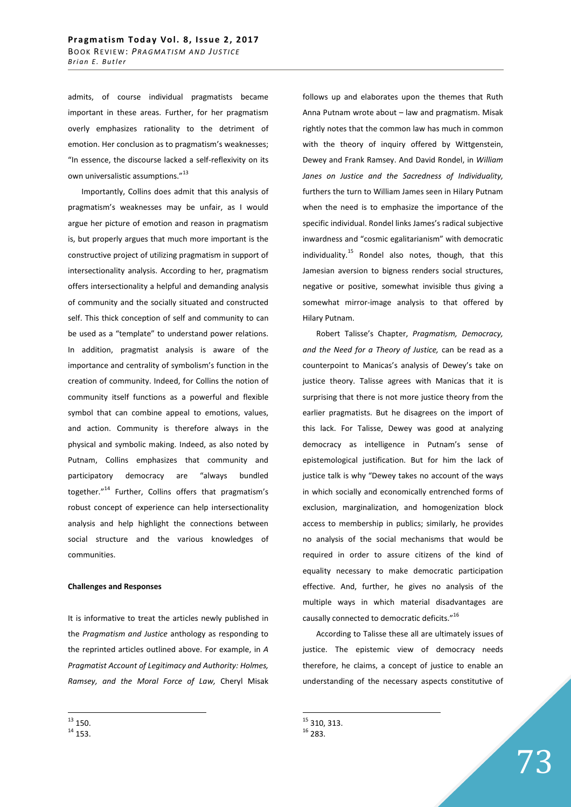admits, of course individual pragmatists became important in these areas. Further, for her pragmatism overly emphasizes rationality to the detriment of emotion. Her conclusion as to pragmatism's weaknesses; "In essence, the discourse lacked a self-reflexivity on its own universalistic assumptions."<sup>13</sup>

Importantly, Collins does admit that this analysis of pragmatism's weaknesses may be unfair, as I would argue her picture of emotion and reason in pragmatism is, but properly argues that much more important is the constructive project of utilizing pragmatism in support of intersectionality analysis. According to her, pragmatism offers intersectionality a helpful and demanding analysis of community and the socially situated and constructed self. This thick conception of self and community to can be used as a "template" to understand power relations. In addition, pragmatist analysis is aware of the importance and centrality of symbolism's function in the creation of community. Indeed, for Collins the notion of community itself functions as a powerful and flexible symbol that can combine appeal to emotions, values, and action. Community is therefore always in the physical and symbolic making. Indeed, as also noted by Putnam, Collins emphasizes that community and participatory democracy are "always bundled together."<sup>14</sup> Further, Collins offers that pragmatism's robust concept of experience can help intersectionality analysis and help highlight the connections between social structure and the various knowledges of communities.

## **Challenges and Responses**

It is informative to treat the articles newly published in the *Pragmatism and Justice* anthology as responding to the reprinted articles outlined above. For example, in *A Pragmatist Account of Legitimacy and Authority: Holmes, Ramsey, and the Moral Force of Law,* Cheryl Misak

 $\overline{a}$ 

follows up and elaborates upon the themes that Ruth Anna Putnam wrote about – law and pragmatism. Misak rightly notes that the common law has much in common with the theory of inquiry offered by Wittgenstein, Dewey and Frank Ramsey. And David Rondel, in *William Janes on Justice and the Sacredness of Individuality,*  furthers the turn to William James seen in Hilary Putnam when the need is to emphasize the importance of the specific individual. Rondel links James's radical subjective inwardness and "cosmic egalitarianism" with democratic individuality.<sup>15</sup> Rondel also notes, though, that this Jamesian aversion to bigness renders social structures, negative or positive, somewhat invisible thus giving a somewhat mirror-image analysis to that offered by Hilary Putnam.

Robert Talisse's Chapter, *Pragmatism, Democracy, and the Need for a Theory of Justice,* can be read as a counterpoint to Manicas's analysis of Dewey's take on justice theory. Talisse agrees with Manicas that it is surprising that there is not more justice theory from the earlier pragmatists. But he disagrees on the import of this lack. For Talisse, Dewey was good at analyzing democracy as intelligence in Putnam's sense of epistemological justification. But for him the lack of justice talk is why "Dewey takes no account of the ways in which socially and economically entrenched forms of exclusion, marginalization, and homogenization block access to membership in publics; similarly, he provides no analysis of the social mechanisms that would be required in order to assure citizens of the kind of equality necessary to make democratic participation effective. And, further, he gives no analysis of the multiple ways in which material disadvantages are causally connected to democratic deficits."<sup>16</sup>

According to Talisse these all are ultimately issues of justice. The epistemic view of democracy needs therefore, he claims, a concept of justice to enable an understanding of the necessary aspects constitutive of

 $^{13}$  150.

 $14$  153.

 $^{15}$  310, 313. <sup>16</sup> 283.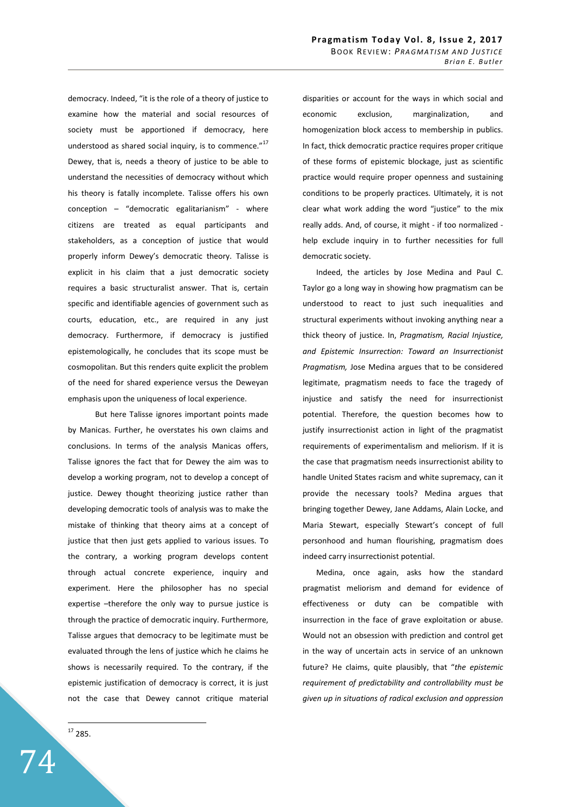democracy. Indeed, "it is the role of a theory of justice to examine how the material and social resources of society must be apportioned if democracy, here understood as shared social inquiry, is to commence."<sup>17</sup> Dewey, that is, needs a theory of justice to be able to understand the necessities of democracy without which his theory is fatally incomplete. Talisse offers his own conception – "democratic egalitarianism" - where citizens are treated as equal participants and stakeholders, as a conception of justice that would properly inform Dewey's democratic theory. Talisse is explicit in his claim that a just democratic society requires a basic structuralist answer. That is, certain specific and identifiable agencies of government such as courts, education, etc., are required in any just democracy. Furthermore, if democracy is justified epistemologically, he concludes that its scope must be cosmopolitan. But this renders quite explicit the problem of the need for shared experience versus the Deweyan emphasis upon the uniqueness of local experience.

 But here Talisse ignores important points made by Manicas. Further, he overstates his own claims and conclusions. In terms of the analysis Manicas offers, Talisse ignores the fact that for Dewey the aim was to develop a working program, not to develop a concept of justice. Dewey thought theorizing justice rather than developing democratic tools of analysis was to make the mistake of thinking that theory aims at a concept of justice that then just gets applied to various issues. To the contrary, a working program develops content through actual concrete experience, inquiry and experiment. Here the philosopher has no special expertise –therefore the only way to pursue justice is through the practice of democratic inquiry. Furthermore, Talisse argues that democracy to be legitimate must be evaluated through the lens of justice which he claims he shows is necessarily required. To the contrary, if the epistemic justification of democracy is correct, it is just not the case that Dewey cannot critique material

 $^{17}$  285.

 $\overline{a}$ 

74

disparities or account for the ways in which social and economic exclusion, marginalization, and homogenization block access to membership in publics. In fact, thick democratic practice requires proper critique of these forms of epistemic blockage, just as scientific practice would require proper openness and sustaining conditions to be properly practices. Ultimately, it is not clear what work adding the word "justice" to the mix really adds. And, of course, it might - if too normalized help exclude inquiry in to further necessities for full democratic society.

Indeed, the articles by Jose Medina and Paul C. Taylor go a long way in showing how pragmatism can be understood to react to just such inequalities and structural experiments without invoking anything near a thick theory of justice. In, *Pragmatism, Racial Injustice, and Epistemic Insurrection: Toward an Insurrectionist Pragmatism,* Jose Medina argues that to be considered legitimate, pragmatism needs to face the tragedy of injustice and satisfy the need for insurrectionist potential. Therefore, the question becomes how to justify insurrectionist action in light of the pragmatist requirements of experimentalism and meliorism. If it is the case that pragmatism needs insurrectionist ability to handle United States racism and white supremacy, can it provide the necessary tools? Medina argues that bringing together Dewey, Jane Addams, Alain Locke, and Maria Stewart, especially Stewart's concept of full personhood and human flourishing, pragmatism does indeed carry insurrectionist potential.

Medina, once again, asks how the standard pragmatist meliorism and demand for evidence of effectiveness or duty can be compatible with insurrection in the face of grave exploitation or abuse. Would not an obsession with prediction and control get in the way of uncertain acts in service of an unknown future? He claims, quite plausibly, that "*the epistemic requirement of predictability and controllability must be given up in situations of radical exclusion and oppression*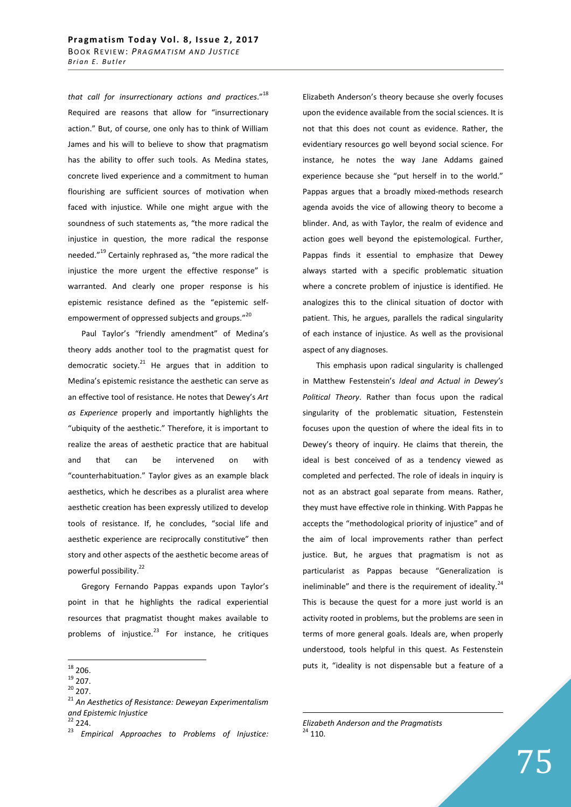*that call for insurrectionary actions and practices*."<sup>18</sup> Required are reasons that allow for "insurrectionary action." But, of course, one only has to think of William James and his will to believe to show that pragmatism has the ability to offer such tools. As Medina states, concrete lived experience and a commitment to human flourishing are sufficient sources of motivation when faced with injustice. While one might argue with the soundness of such statements as, "the more radical the injustice in question, the more radical the response needed."<sup>19</sup> Certainly rephrased as, "the more radical the injustice the more urgent the effective response" is warranted. And clearly one proper response is his epistemic resistance defined as the "epistemic selfempowerment of oppressed subjects and groups."<sup>20</sup>

Paul Taylor's "friendly amendment" of Medina's theory adds another tool to the pragmatist quest for democratic society. $^{21}$  He argues that in addition to Medina's epistemic resistance the aesthetic can serve as an effective tool of resistance. He notes that Dewey's *Art as Experience* properly and importantly highlights the "ubiquity of the aesthetic." Therefore, it is important to realize the areas of aesthetic practice that are habitual and that can be intervened on with "counterhabituation." Taylor gives as an example black aesthetics, which he describes as a pluralist area where aesthetic creation has been expressly utilized to develop tools of resistance. If, he concludes, "social life and aesthetic experience are reciprocally constitutive" then story and other aspects of the aesthetic become areas of powerful possibility.<sup>22</sup>

Gregory Fernando Pappas expands upon Taylor's point in that he highlights the radical experiential resources that pragmatist thought makes available to problems of injustice. $^{23}$  For instance, he critiques

 $20$  207.

 $22$  224.

<sup>23</sup> *Empirical Approaches to Problems of Injustice:* 

Elizabeth Anderson's theory because she overly focuses upon the evidence available from the social sciences. It is not that this does not count as evidence. Rather, the evidentiary resources go well beyond social science. For instance, he notes the way Jane Addams gained experience because she "put herself in to the world." Pappas argues that a broadly mixed-methods research agenda avoids the vice of allowing theory to become a blinder. And, as with Taylor, the realm of evidence and action goes well beyond the epistemological. Further, Pappas finds it essential to emphasize that Dewey always started with a specific problematic situation where a concrete problem of injustice is identified. He analogizes this to the clinical situation of doctor with patient. This, he argues, parallels the radical singularity of each instance of injustice. As well as the provisional aspect of any diagnoses.

This emphasis upon radical singularity is challenged in Matthew Festenstein's *Ideal and Actual in Dewey's Political Theory*. Rather than focus upon the radical singularity of the problematic situation, Festenstein focuses upon the question of where the ideal fits in to Dewey's theory of inquiry. He claims that therein, the ideal is best conceived of as a tendency viewed as completed and perfected. The role of ideals in inquiry is not as an abstract goal separate from means. Rather, they must have effective role in thinking. With Pappas he accepts the "methodological priority of injustice" and of the aim of local improvements rather than perfect justice. But, he argues that pragmatism is not as particularist as Pappas because "Generalization is ineliminable" and there is the requirement of ideality. $^{24}$ This is because the quest for a more just world is an activity rooted in problems, but the problems are seen in terms of more general goals. Ideals are, when properly understood, tools helpful in this quest. As Festenstein puts it, "ideality is not dispensable but a feature of a

 $\overline{a}$  $18$  206.

 $19$  207.

<sup>21</sup> *An Aesthetics of Resistance: Deweyan Experimentalism and Epistemic Injustice*

*Elizabeth Anderson and the Pragmatists*  $24$  110.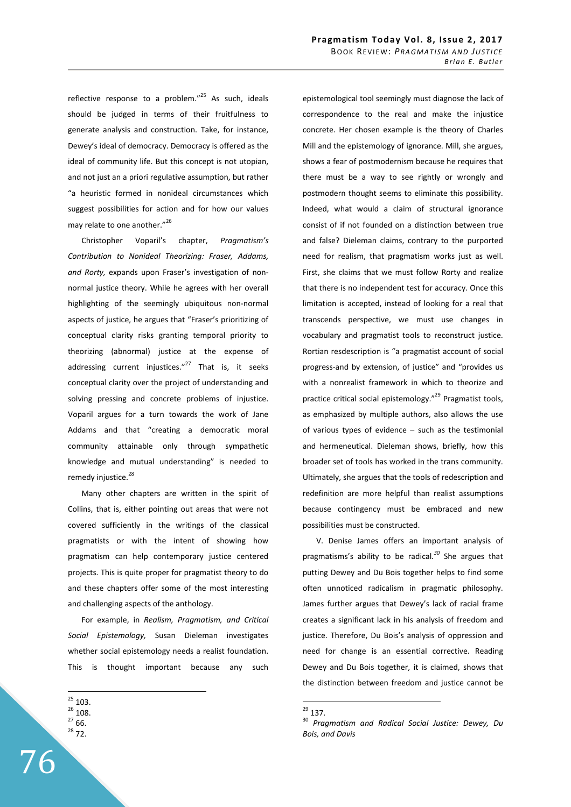reflective response to a problem. $v^{25}$  As such, ideals should be judged in terms of their fruitfulness to generate analysis and construction. Take, for instance, Dewey's ideal of democracy. Democracy is offered as the ideal of community life. But this concept is not utopian, and not just an a priori regulative assumption, but rather "a heuristic formed in nonideal circumstances which suggest possibilities for action and for how our values may relate to one another."<sup>26</sup>

Christopher Voparil's chapter, *Pragmatism's Contribution to Nonideal Theorizing: Fraser, Addams, and Rorty,* expands upon Fraser's investigation of nonnormal justice theory. While he agrees with her overall highlighting of the seemingly ubiquitous non-normal aspects of justice, he argues that "Fraser's prioritizing of conceptual clarity risks granting temporal priority to theorizing (abnormal) justice at the expense of addressing current injustices. $n^{27}$  That is, it seeks conceptual clarity over the project of understanding and solving pressing and concrete problems of injustice. Voparil argues for a turn towards the work of Jane Addams and that "creating a democratic moral community attainable only through sympathetic knowledge and mutual understanding" is needed to remedy injustice.<sup>28</sup>

Many other chapters are written in the spirit of Collins, that is, either pointing out areas that were not covered sufficiently in the writings of the classical pragmatists or with the intent of showing how pragmatism can help contemporary justice centered projects. This is quite proper for pragmatist theory to do and these chapters offer some of the most interesting and challenging aspects of the anthology.

For example, in *Realism, Pragmatism, and Critical Social Epistemology,* Susan Dieleman investigates whether social epistemology needs a realist foundation. This is thought important because any such

 $2766$ .

76

epistemological tool seemingly must diagnose the lack of correspondence to the real and make the injustice concrete. Her chosen example is the theory of Charles Mill and the epistemology of ignorance. Mill, she argues, shows a fear of postmodernism because he requires that there must be a way to see rightly or wrongly and postmodern thought seems to eliminate this possibility. Indeed, what would a claim of structural ignorance consist of if not founded on a distinction between true and false? Dieleman claims, contrary to the purported need for realism, that pragmatism works just as well. First, she claims that we must follow Rorty and realize that there is no independent test for accuracy. Once this limitation is accepted, instead of looking for a real that transcends perspective, we must use changes in vocabulary and pragmatist tools to reconstruct justice. Rortian resdescription is "a pragmatist account of social progress-and by extension, of justice" and "provides us with a nonrealist framework in which to theorize and practice critical social epistemology."<sup>29</sup> Pragmatist tools, as emphasized by multiple authors, also allows the use of various types of evidence – such as the testimonial and hermeneutical. Dieleman shows, briefly, how this broader set of tools has worked in the trans community. Ultimately, she argues that the tools of redescription and redefinition are more helpful than realist assumptions because contingency must be embraced and new possibilities must be constructed.

V. Denise James offers an important analysis of pragmatisms's ability to be radical*. <sup>30</sup>* She argues that putting Dewey and Du Bois together helps to find some often unnoticed radicalism in pragmatic philosophy. James further argues that Dewey's lack of racial frame creates a significant lack in his analysis of freedom and justice. Therefore. Du Bois's analysis of oppression and need for change is an essential corrective. Reading Dewey and Du Bois together, it is claimed, shows that the distinction between freedom and justice cannot be

 $\overline{a}$  $^{25}$  103.

<sup>26</sup> 108.

<sup>28</sup> 72.

 $^{29}$  137.

<sup>30</sup> *Pragmatism and Radical Social Justice: Dewey, Du Bois, and Davis*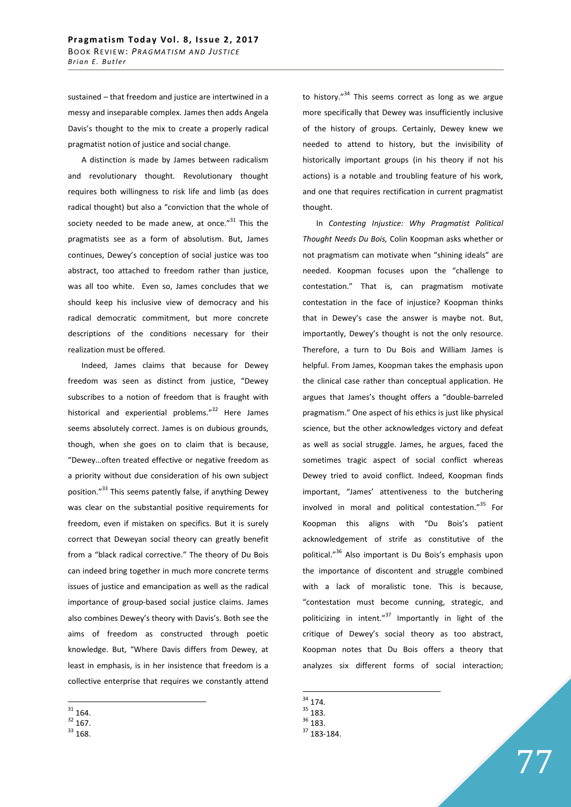sustained – that freedom and justice are intertwined in a messy and inseparable complex. James then adds Angela Davis's thought to the mix to create a properly radical pragmatist notion of justice and social change.

A distinction is made by James between radicalism and revolutionary thought. Revolutionary thought requires both willingness to risk life and limb (as does radical thought) but also a "conviction that the whole of society needed to be made anew, at once. $^{\prime\prime}$ <sup>31</sup> This the pragmatists see as a form of absolutism. But, James continues, Dewey's conception of social justice was too abstract, too attached to freedom rather than justice, was all too white. Even so, James concludes that we should keep his inclusive view of democracy and his radical democratic commitment, but more concrete descriptions of the conditions necessary for their realization must be offered.

Indeed, James claims that because for Dewey freedom was seen as distinct from justice, "Dewey subscribes to a notion of freedom that is fraught with historical and experiential problems."<sup>32</sup> Here James seems absolutely correct. James is on dubious grounds, though, when she goes on to claim that is because, "Dewey…often treated effective or negative freedom as a priority without due consideration of his own subject position."<sup>33</sup> This seems patently false, if anything Dewey was clear on the substantial positive requirements for freedom, even if mistaken on specifics. But it is surely correct that Deweyan social theory can greatly benefit from a "black radical corrective." The theory of Du Bois can indeed bring together in much more concrete terms issues of justice and emancipation as well as the radical importance of group-based social justice claims. James also combines Dewey's theory with Davis's. Both see the aims of freedom as constructed through poetic knowledge. But, "Where Davis differs from Dewey, at least in emphasis, is in her insistence that freedom is a collective enterprise that requires we constantly attend

 $\overline{a}$ 

to history. $134$  This seems correct as long as we argue more specifically that Dewey was insufficiently inclusive of the history of groups. Certainly, Dewey knew we needed to attend to history, but the invisibility of historically important groups (in his theory if not his actions) is a notable and troubling feature of his work, and one that requires rectification in current pragmatist thought.

In *Contesting Injustice: Why Pragmatist Political Thought Needs Du Bois,* Colin Koopman asks whether or not pragmatism can motivate when "shining ideals" are needed. Koopman focuses upon the "challenge to contestation." That is, can pragmatism motivate contestation in the face of injustice? Koopman thinks that in Dewey's case the answer is maybe not. But, importantly, Dewey's thought is not the only resource. Therefore, a turn to Du Bois and William James is helpful. From James, Koopman takes the emphasis upon the clinical case rather than conceptual application. He argues that James's thought offers a "double-barreled pragmatism." One aspect of his ethics is just like physical science, but the other acknowledges victory and defeat as well as social struggle. James, he argues, faced the sometimes tragic aspect of social conflict whereas Dewey tried to avoid conflict. Indeed, Koopman finds important, "James' attentiveness to the butchering involved in moral and political contestation."<sup>35</sup> For Koopman this aligns with "Du Bois's patient acknowledgement of strife as constitutive of the political."<sup>36</sup> Also important is Du Bois's emphasis upon the importance of discontent and struggle combined with a lack of moralistic tone. This is because, "contestation must become cunning, strategic, and politicizing in intent."<sup>37</sup> Importantly in light of the critique of Dewey's social theory as too abstract, Koopman notes that Du Bois offers a theory that analyzes six different forms of social interaction;

 $31$  164.

 $32$  167.

<sup>33</sup> 168.

 $34$  174.

 $35$  183.

<sup>36</sup> 183.

<sup>37</sup> 183-184.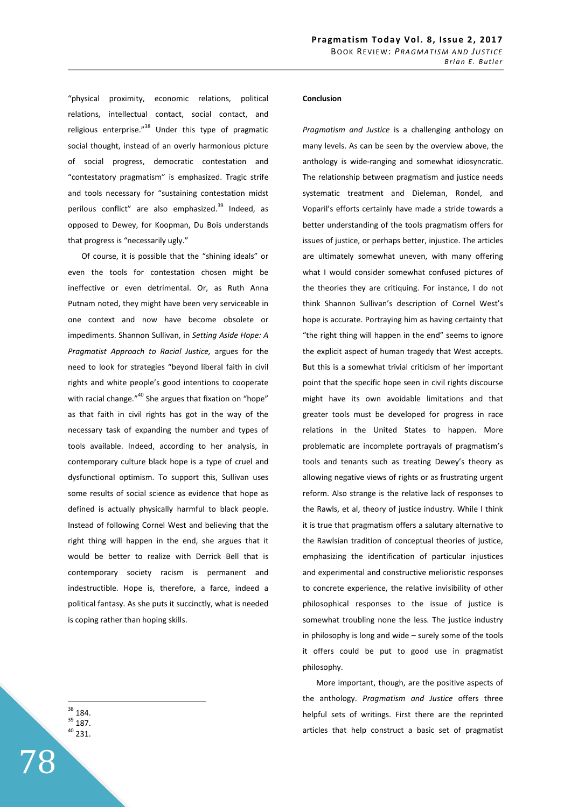"physical proximity, economic relations, political relations, intellectual contact, social contact, and religious enterprise. $n^{38}$  Under this type of pragmatic social thought, instead of an overly harmonious picture of social progress, democratic contestation and "contestatory pragmatism" is emphasized. Tragic strife and tools necessary for "sustaining contestation midst perilous conflict" are also emphasized.<sup>39</sup> Indeed, as opposed to Dewey, for Koopman, Du Bois understands that progress is "necessarily ugly."

Of course, it is possible that the "shining ideals" or even the tools for contestation chosen might be ineffective or even detrimental. Or, as Ruth Anna Putnam noted, they might have been very serviceable in one context and now have become obsolete or impediments. Shannon Sullivan, in *Setting Aside Hope: A Pragmatist Approach to Racial Justice,* argues for the need to look for strategies "beyond liberal faith in civil rights and white people's good intentions to cooperate with racial change."<sup>40</sup> She argues that fixation on "hope" as that faith in civil rights has got in the way of the necessary task of expanding the number and types of tools available. Indeed, according to her analysis, in contemporary culture black hope is a type of cruel and dysfunctional optimism. To support this, Sullivan uses some results of social science as evidence that hope as defined is actually physically harmful to black people. Instead of following Cornel West and believing that the right thing will happen in the end, she argues that it would be better to realize with Derrick Bell that is contemporary society racism is permanent and indestructible. Hope is, therefore, a farce, indeed a political fantasy. As she puts it succinctly, what is needed is coping rather than hoping skills.

 $38$  184. <sup>39</sup> 187. <sup>40</sup> 231.

 $\overline{a}$ 

78

## **Conclusion**

*Pragmatism and Justice* is a challenging anthology on many levels. As can be seen by the overview above, the anthology is wide-ranging and somewhat idiosyncratic. The relationship between pragmatism and justice needs systematic treatment and Dieleman, Rondel, and Voparil's efforts certainly have made a stride towards a better understanding of the tools pragmatism offers for issues of justice, or perhaps better, injustice. The articles are ultimately somewhat uneven, with many offering what I would consider somewhat confused pictures of the theories they are critiquing. For instance, I do not think Shannon Sullivan's description of Cornel West's hope is accurate. Portraying him as having certainty that "the right thing will happen in the end" seems to ignore the explicit aspect of human tragedy that West accepts. But this is a somewhat trivial criticism of her important point that the specific hope seen in civil rights discourse might have its own avoidable limitations and that greater tools must be developed for progress in race relations in the United States to happen. More problematic are incomplete portrayals of pragmatism's tools and tenants such as treating Dewey's theory as allowing negative views of rights or as frustrating urgent reform. Also strange is the relative lack of responses to the Rawls, et al, theory of justice industry. While I think it is true that pragmatism offers a salutary alternative to the Rawlsian tradition of conceptual theories of justice, emphasizing the identification of particular injustices and experimental and constructive melioristic responses to concrete experience, the relative invisibility of other philosophical responses to the issue of justice is somewhat troubling none the less. The justice industry in philosophy is long and wide – surely some of the tools it offers could be put to good use in pragmatist philosophy.

More important, though, are the positive aspects of the anthology. *Pragmatism and Justice* offers three helpful sets of writings. First there are the reprinted articles that help construct a basic set of pragmatist